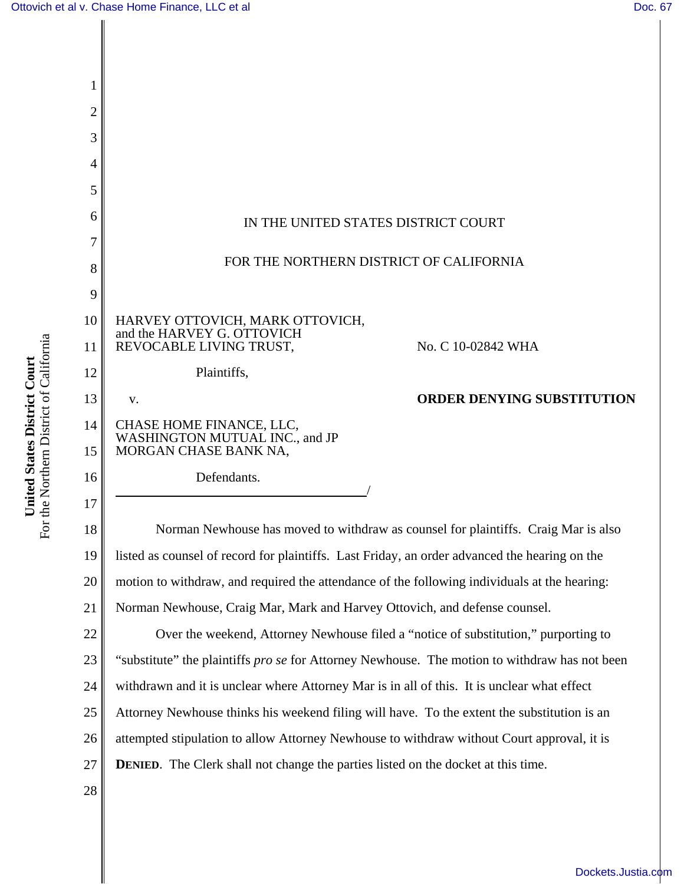